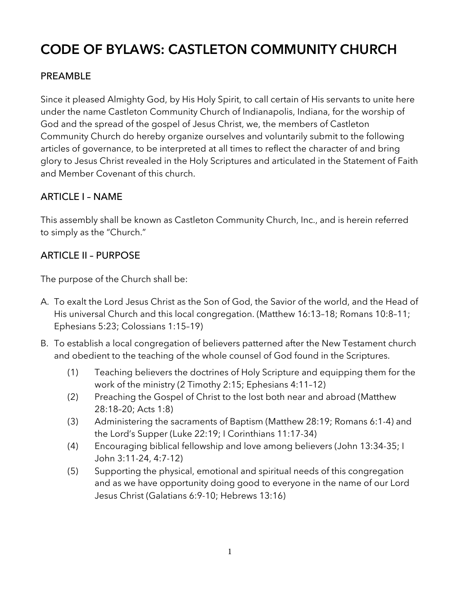# **CODE OF BYLAWS: CASTLETON COMMUNITY CHURCH**

# PREAMBLE

Since it pleased Almighty God, by His Holy Spirit, to call certain of His servants to unite here under the name Castleton Community Church of Indianapolis, Indiana, for the worship of God and the spread of the gospel of Jesus Christ, we, the members of Castleton Community Church do hereby organize ourselves and voluntarily submit to the following articles of governance, to be interpreted at all times to reflect the character of and bring glory to Jesus Christ revealed in the Holy Scriptures and articulated in the Statement of Faith and Member Covenant of this church.

# ARTICLE I – NAME

This assembly shall be known as Castleton Community Church, Inc., and is herein referred to simply as the "Church."

# ARTICLE II – PURPOSE

The purpose of the Church shall be:

- A. To exalt the Lord Jesus Christ as the Son of God, the Savior of the world, and the Head of His universal Church and this local congregation. (Matthew 16:13–18; Romans 10:8–11; Ephesians 5:23; Colossians 1:15–19)
- B. To establish a local congregation of believers patterned after the New Testament church and obedient to the teaching of the whole counsel of God found in the Scriptures.
	- (1) Teaching believers the doctrines of Holy Scripture and equipping them for the work of the ministry (2 Timothy 2:15; Ephesians 4:11–12)
	- (2) Preaching the Gospel of Christ to the lost both near and abroad (Matthew 28:18–20; Acts 1:8)
	- (3) Administering the sacraments of Baptism (Matthew 28:19; Romans 6:1-4) and the Lord's Supper (Luke 22:19; I Corinthians 11:17-34)
	- (4) Encouraging biblical fellowship and love among believers (John 13:34-35; I John 3:11-24, 4:7-12)
	- (5) Supporting the physical, emotional and spiritual needs of this congregation and as we have opportunity doing good to everyone in the name of our Lord Jesus Christ (Galatians 6:9-10; Hebrews 13:16)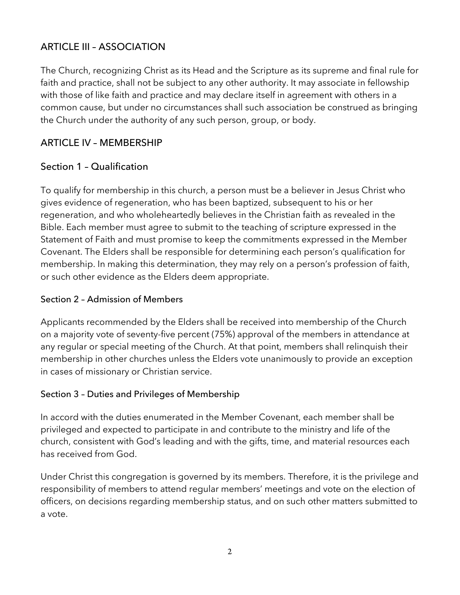# ARTICLE III – ASSOCIATION

The Church, recognizing Christ as its Head and the Scripture as its supreme and final rule for faith and practice, shall not be subject to any other authority. It may associate in fellowship with those of like faith and practice and may declare itself in agreement with others in a common cause, but under no circumstances shall such association be construed as bringing the Church under the authority of any such person, group, or body.

# ARTICLE IV – MEMBERSHIP

## Section 1 – Qualification

To qualify for membership in this church, a person must be a believer in Jesus Christ who gives evidence of regeneration, who has been baptized, subsequent to his or her regeneration, and who wholeheartedly believes in the Christian faith as revealed in the Bible. Each member must agree to submit to the teaching of scripture expressed in the Statement of Faith and must promise to keep the commitments expressed in the Member Covenant. The Elders shall be responsible for determining each person's qualification for membership. In making this determination, they may rely on a person's profession of faith, or such other evidence as the Elders deem appropriate.

### Section 2 – Admission of Members

Applicants recommended by the Elders shall be received into membership of the Church on a majority vote of seventy-five percent (75%) approval of the members in attendance at any regular or special meeting of the Church. At that point, members shall relinquish their membership in other churches unless the Elders vote unanimously to provide an exception in cases of missionary or Christian service.

## Section 3 – Duties and Privileges of Membership

In accord with the duties enumerated in the Member Covenant, each member shall be privileged and expected to participate in and contribute to the ministry and life of the church, consistent with God's leading and with the gifts, time, and material resources each has received from God.

Under Christ this congregation is governed by its members. Therefore, it is the privilege and responsibility of members to attend regular members' meetings and vote on the election of officers, on decisions regarding membership status, and on such other matters submitted to a vote.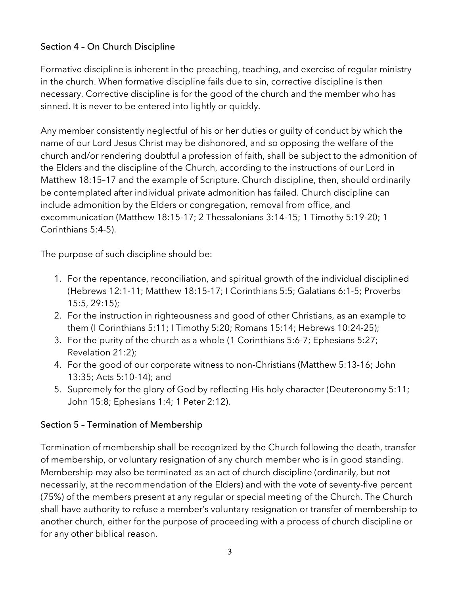# Section 4 – On Church Discipline

Formative discipline is inherent in the preaching, teaching, and exercise of regular ministry in the church. When formative discipline fails due to sin, corrective discipline is then necessary. Corrective discipline is for the good of the church and the member who has sinned. It is never to be entered into lightly or quickly.

Any member consistently neglectful of his or her duties or guilty of conduct by which the name of our Lord Jesus Christ may be dishonored, and so opposing the welfare of the church and/or rendering doubtful a profession of faith, shall be subject to the admonition of the Elders and the discipline of the Church, according to the instructions of our Lord in Matthew 18:15–17 and the example of Scripture. Church discipline, then, should ordinarily be contemplated after individual private admonition has failed. Church discipline can include admonition by the Elders or congregation, removal from office, and excommunication (Matthew 18:15-17; 2 Thessalonians 3:14-15; 1 Timothy 5:19-20; 1 Corinthians 5:4-5).

The purpose of such discipline should be:

- 1. For the repentance, reconciliation, and spiritual growth of the individual disciplined (Hebrews 12:1-11; Matthew 18:15-17; I Corinthians 5:5; Galatians 6:1-5; Proverbs 15:5, 29:15);
- 2. For the instruction in righteousness and good of other Christians, as an example to them (I Corinthians 5:11; I Timothy 5:20; Romans 15:14; Hebrews 10:24-25);
- 3. For the purity of the church as a whole (1 Corinthians 5:6-7; Ephesians 5:27; Revelation 21:2);
- 4. For the good of our corporate witness to non-Christians (Matthew 5:13-16; John 13:35; Acts 5:10-14); and
- 5. Supremely for the glory of God by reflecting His holy character (Deuteronomy 5:11; John 15:8; Ephesians 1:4; 1 Peter 2:12).

#### Section 5 – Termination of Membership

Termination of membership shall be recognized by the Church following the death, transfer of membership, or voluntary resignation of any church member who is in good standing. Membership may also be terminated as an act of church discipline (ordinarily, but not necessarily, at the recommendation of the Elders) and with the vote of seventy-five percent (75%) of the members present at any regular or special meeting of the Church. The Church shall have authority to refuse a member's voluntary resignation or transfer of membership to another church, either for the purpose of proceeding with a process of church discipline or for any other biblical reason.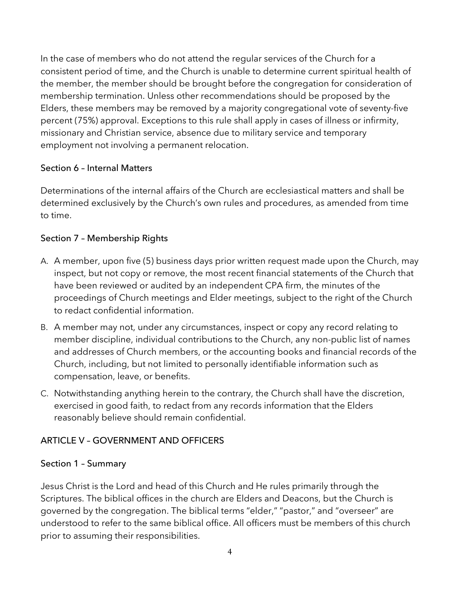In the case of members who do not attend the regular services of the Church for a consistent period of time, and the Church is unable to determine current spiritual health of the member, the member should be brought before the congregation for consideration of membership termination. Unless other recommendations should be proposed by the Elders, these members may be removed by a majority congregational vote of seventy-five percent (75%) approval. Exceptions to this rule shall apply in cases of illness or infirmity, missionary and Christian service, absence due to military service and temporary employment not involving a permanent relocation.

#### Section 6 – Internal Matters

Determinations of the internal affairs of the Church are ecclesiastical matters and shall be determined exclusively by the Church's own rules and procedures, as amended from time to time.

## Section 7 – Membership Rights

- A. A member, upon five (5) business days prior written request made upon the Church, may inspect, but not copy or remove, the most recent financial statements of the Church that have been reviewed or audited by an independent CPA firm, the minutes of the proceedings of Church meetings and Elder meetings, subject to the right of the Church to redact confidential information.
- B. A member may not, under any circumstances, inspect or copy any record relating to member discipline, individual contributions to the Church, any non-public list of names and addresses of Church members, or the accounting books and financial records of the Church, including, but not limited to personally identifiable information such as compensation, leave, or benefits.
- C. Notwithstanding anything herein to the contrary, the Church shall have the discretion, exercised in good faith, to redact from any records information that the Elders reasonably believe should remain confidential.

## ARTICLE V – GOVERNMENT AND OFFICERS

#### Section 1 – Summary

Jesus Christ is the Lord and head of this Church and He rules primarily through the Scriptures. The biblical offices in the church are Elders and Deacons, but the Church is governed by the congregation. The biblical terms "elder," "pastor," and "overseer" are understood to refer to the same biblical office. All officers must be members of this church prior to assuming their responsibilities.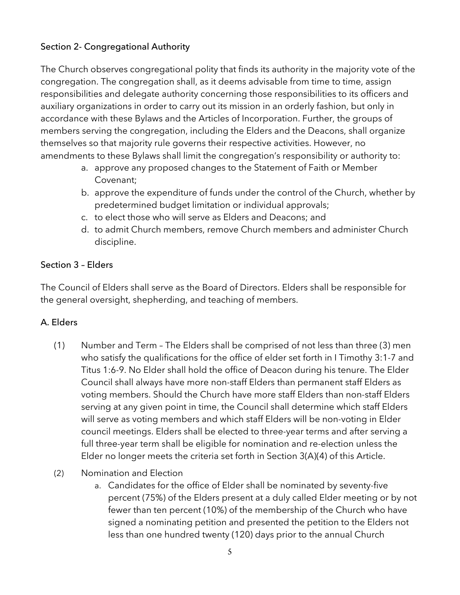# Section 2- Congregational Authority

The Church observes congregational polity that finds its authority in the majority vote of the congregation. The congregation shall, as it deems advisable from time to time, assign responsibilities and delegate authority concerning those responsibilities to its officers and auxiliary organizations in order to carry out its mission in an orderly fashion, but only in accordance with these Bylaws and the Articles of Incorporation. Further, the groups of members serving the congregation, including the Elders and the Deacons, shall organize themselves so that majority rule governs their respective activities. However, no amendments to these Bylaws shall limit the congregation's responsibility or authority to:

- a. approve any proposed changes to the Statement of Faith or Member Covenant;
- b. approve the expenditure of funds under the control of the Church, whether by predetermined budget limitation or individual approvals;
- c. to elect those who will serve as Elders and Deacons; and
- d. to admit Church members, remove Church members and administer Church discipline.

#### Section 3 – Elders

The Council of Elders shall serve as the Board of Directors. Elders shall be responsible for the general oversight, shepherding, and teaching of members.

## A. Elders

- (1) Number and Term The Elders shall be comprised of not less than three (3) men who satisfy the qualifications for the office of elder set forth in I Timothy 3:1-7 and Titus 1:6-9. No Elder shall hold the office of Deacon during his tenure. The Elder Council shall always have more non-staff Elders than permanent staff Elders as voting members. Should the Church have more staff Elders than non-staff Elders serving at any given point in time, the Council shall determine which staff Elders will serve as voting members and which staff Elders will be non-voting in Elder council meetings. Elders shall be elected to three-year terms and after serving a full three-year term shall be eligible for nomination and re-election unless the Elder no longer meets the criteria set forth in Section 3(A)(4) of this Article.
- (2) Nomination and Election
	- a. Candidates for the office of Elder shall be nominated by seventy-five percent (75%) of the Elders present at a duly called Elder meeting or by not fewer than ten percent (10%) of the membership of the Church who have signed a nominating petition and presented the petition to the Elders not less than one hundred twenty (120) days prior to the annual Church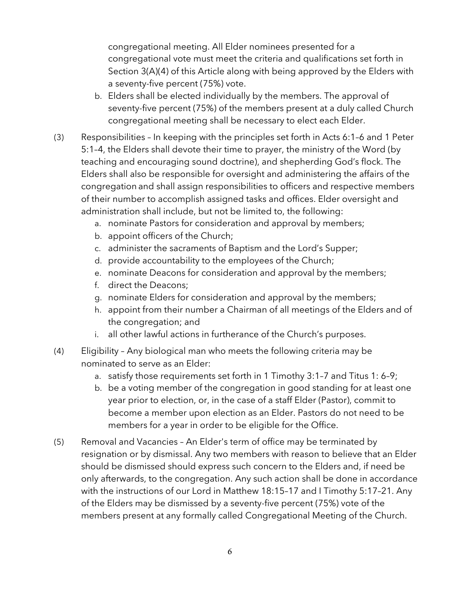congregational meeting. All Elder nominees presented for a congregational vote must meet the criteria and qualifications set forth in Section 3(A)(4) of this Article along with being approved by the Elders with a seventy-five percent (75%) vote.

- b. Elders shall be elected individually by the members. The approval of seventy-five percent (75%) of the members present at a duly called Church congregational meeting shall be necessary to elect each Elder.
- (3) Responsibilities In keeping with the principles set forth in Acts 6:1–6 and 1 Peter 5:1–4, the Elders shall devote their time to prayer, the ministry of the Word (by teaching and encouraging sound doctrine), and shepherding God's flock. The Elders shall also be responsible for oversight and administering the affairs of the congregation and shall assign responsibilities to officers and respective members of their number to accomplish assigned tasks and offices. Elder oversight and administration shall include, but not be limited to, the following:
	- a. nominate Pastors for consideration and approval by members;
	- b. appoint officers of the Church;
	- c. administer the sacraments of Baptism and the Lord's Supper;
	- d. provide accountability to the employees of the Church;
	- e. nominate Deacons for consideration and approval by the members;
	- f. direct the Deacons;
	- g. nominate Elders for consideration and approval by the members;
	- h. appoint from their number a Chairman of all meetings of the Elders and of the congregation; and
	- i. all other lawful actions in furtherance of the Church's purposes.
- (4) Eligibility Any biological man who meets the following criteria may be nominated to serve as an Elder:
	- a. satisfy those requirements set forth in 1 Timothy 3:1–7 and Titus 1: 6–9;
	- b. be a voting member of the congregation in good standing for at least one year prior to election, or, in the case of a staff Elder (Pastor), commit to become a member upon election as an Elder. Pastors do not need to be members for a year in order to be eligible for the Office.
- (5) Removal and Vacancies An Elder's term of office may be terminated by resignation or by dismissal. Any two members with reason to believe that an Elder should be dismissed should express such concern to the Elders and, if need be only afterwards, to the congregation. Any such action shall be done in accordance with the instructions of our Lord in Matthew 18:15–17 and I Timothy 5:17–21. Any of the Elders may be dismissed by a seventy-five percent (75%) vote of the members present at any formally called Congregational Meeting of the Church.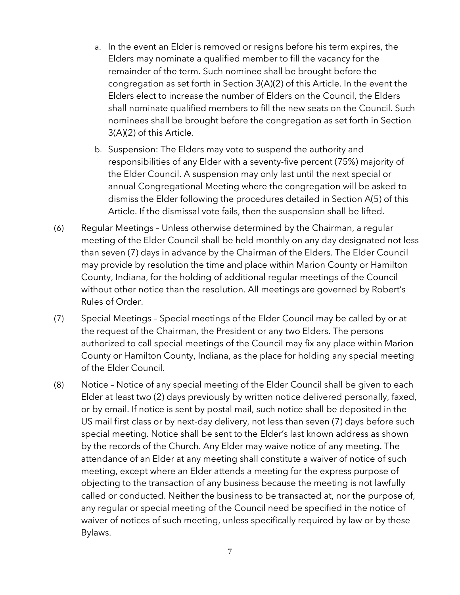- a. In the event an Elder is removed or resigns before his term expires, the Elders may nominate a qualified member to fill the vacancy for the remainder of the term. Such nominee shall be brought before the congregation as set forth in Section 3(A)(2) of this Article. In the event the Elders elect to increase the number of Elders on the Council, the Elders shall nominate qualified members to fill the new seats on the Council. Such nominees shall be brought before the congregation as set forth in Section 3(A)(2) of this Article.
- b. Suspension: The Elders may vote to suspend the authority and responsibilities of any Elder with a seventy-five percent (75%) majority of the Elder Council. A suspension may only last until the next special or annual Congregational Meeting where the congregation will be asked to dismiss the Elder following the procedures detailed in Section A(5) of this Article. If the dismissal vote fails, then the suspension shall be lifted.
- (6) Regular Meetings Unless otherwise determined by the Chairman, a regular meeting of the Elder Council shall be held monthly on any day designated not less than seven (7) days in advance by the Chairman of the Elders. The Elder Council may provide by resolution the time and place within Marion County or Hamilton County, Indiana, for the holding of additional regular meetings of the Council without other notice than the resolution. All meetings are governed by Robert's Rules of Order.
- (7) Special Meetings Special meetings of the Elder Council may be called by or at the request of the Chairman, the President or any two Elders. The persons authorized to call special meetings of the Council may fix any place within Marion County or Hamilton County, Indiana, as the place for holding any special meeting of the Elder Council.
- (8) Notice Notice of any special meeting of the Elder Council shall be given to each Elder at least two (2) days previously by written notice delivered personally, faxed, or by email. If notice is sent by postal mail, such notice shall be deposited in the US mail first class or by next-day delivery, not less than seven (7) days before such special meeting. Notice shall be sent to the Elder's last known address as shown by the records of the Church. Any Elder may waive notice of any meeting. The attendance of an Elder at any meeting shall constitute a waiver of notice of such meeting, except where an Elder attends a meeting for the express purpose of objecting to the transaction of any business because the meeting is not lawfully called or conducted. Neither the business to be transacted at, nor the purpose of, any regular or special meeting of the Council need be specified in the notice of waiver of notices of such meeting, unless specifically required by law or by these Bylaws.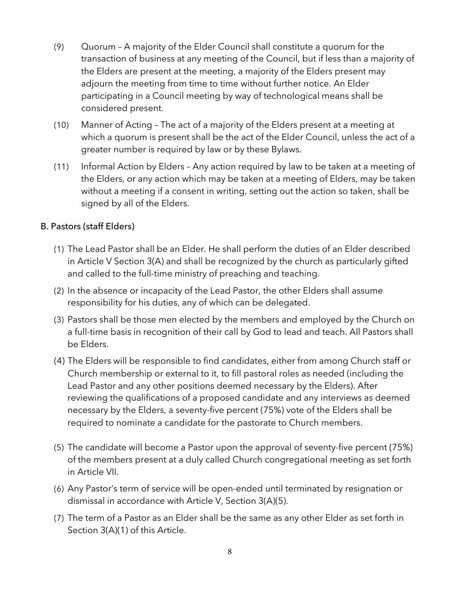- (9) Quorum A majority of the Elder Council shall constitute a quorum for the transaction of business at any meeting of the Council, but if less than a majority of the Elders are present at the meeting, a majority of the Elders present may adjourn the meeting from time to time without further notice. An Elder participating in a Council meeting by way of technological means shall be considered present.
- (10) Manner of Acting The act of a majority of the Elders present at a meeting at which a quorum is present shall be the act of the Elder Council, unless the act of a greater number is required by law or by these Bylaws.
- (11) Informal Action by Elders Any action required by law to be taken at a meeting of the Elders, or any action which may be taken at a meeting of Elders, may be taken without a meeting if a consent in writing, setting out the action so taken, shall be signed by all of the Elders.

## B. Pastors (staff Elders)

- (1) The Lead Pastor shall be an Elder. He shall perform the duties of an Elder described in Article V Section 3(A) and shall be recognized by the church as particularly gifted and called to the full-time ministry of preaching and teaching.
- (2) In the absence or incapacity of the Lead Pastor, the other Elders shall assume responsibility for his duties, any of which can be delegated.
- (3) Pastors shall be those men elected by the members and employed by the Church on a full-time basis in recognition of their call by God to lead and teach. All Pastors shall be Elders.
- (4) The Elders will be responsible to find candidates, either from among Church staff or Church membership or external to it, to fill pastoral roles as needed (including the Lead Pastor and any other positions deemed necessary by the Elders). After reviewing the qualifications of a proposed candidate and any interviews as deemed necessary by the Elders, a seventy-five percent (75%) vote of the Elders shall be required to nominate a candidate for the pastorate to Church members.
- (5) The candidate will become a Pastor upon the approval of seventy-five percent (75%) of the members present at a duly called Church congregational meeting as set forth in Article VII.
- (6) Any Pastor's term of service will be open-ended until terminated by resignation or dismissal in accordance with Article V, Section 3(A)(5).
- (7) The term of a Pastor as an Elder shall be the same as any other Elder as set forth in Section 3(A)(1) of this Article.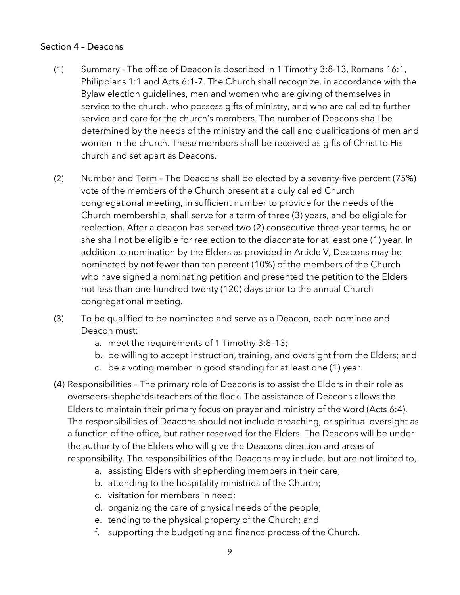#### Section 4 – Deacons

- (1) Summary The office of Deacon is described in 1 Timothy 3:8-13, Romans 16:1, Philippians 1:1 and Acts 6:1-7. The Church shall recognize, in accordance with the Bylaw election guidelines, men and women who are giving of themselves in service to the church, who possess gifts of ministry, and who are called to further service and care for the church's members. The number of Deacons shall be determined by the needs of the ministry and the call and qualifications of men and women in the church. These members shall be received as gifts of Christ to His church and set apart as Deacons.
- (2) Number and Term The Deacons shall be elected by a seventy-five percent (75%) vote of the members of the Church present at a duly called Church congregational meeting, in sufficient number to provide for the needs of the Church membership, shall serve for a term of three (3) years, and be eligible for reelection. After a deacon has served two (2) consecutive three-year terms, he or she shall not be eligible for reelection to the diaconate for at least one (1) year. In addition to nomination by the Elders as provided in Article V, Deacons may be nominated by not fewer than ten percent (10%) of the members of the Church who have signed a nominating petition and presented the petition to the Elders not less than one hundred twenty (120) days prior to the annual Church congregational meeting.
- (3) To be qualified to be nominated and serve as a Deacon, each nominee and Deacon must:
	- a. meet the requirements of 1 Timothy 3:8–13;
	- b. be willing to accept instruction, training, and oversight from the Elders; and
	- c. be a voting member in good standing for at least one (1) year.
- (4) Responsibilities The primary role of Deacons is to assist the Elders in their role as overseers-shepherds-teachers of the flock. The assistance of Deacons allows the Elders to maintain their primary focus on prayer and ministry of the word (Acts 6:4). The responsibilities of Deacons should not include preaching, or spiritual oversight as a function of the office, but rather reserved for the Elders. The Deacons will be under the authority of the Elders who will give the Deacons direction and areas of responsibility. The responsibilities of the Deacons may include, but are not limited to,
	- a. assisting Elders with shepherding members in their care;
	- b. attending to the hospitality ministries of the Church;
	- c. visitation for members in need;
	- d. organizing the care of physical needs of the people;
	- e. tending to the physical property of the Church; and
	- f. supporting the budgeting and finance process of the Church.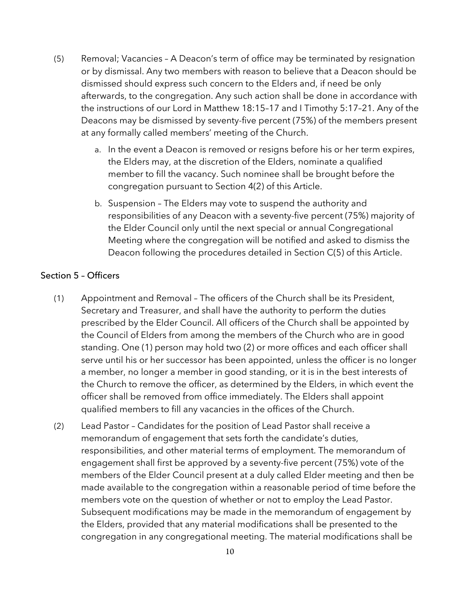- (5) Removal; Vacancies A Deacon's term of office may be terminated by resignation or by dismissal. Any two members with reason to believe that a Deacon should be dismissed should express such concern to the Elders and, if need be only afterwards, to the congregation. Any such action shall be done in accordance with the instructions of our Lord in Matthew 18:15–17 and I Timothy 5:17–21. Any of the Deacons may be dismissed by seventy-five percent (75%) of the members present at any formally called members' meeting of the Church.
	- a. In the event a Deacon is removed or resigns before his or her term expires, the Elders may, at the discretion of the Elders, nominate a qualified member to fill the vacancy. Such nominee shall be brought before the congregation pursuant to Section 4(2) of this Article.
	- b. Suspension The Elders may vote to suspend the authority and responsibilities of any Deacon with a seventy-five percent (75%) majority of the Elder Council only until the next special or annual Congregational Meeting where the congregation will be notified and asked to dismiss the Deacon following the procedures detailed in Section C(5) of this Article.

#### Section 5 – Officers

- (1) Appointment and Removal The officers of the Church shall be its President, Secretary and Treasurer, and shall have the authority to perform the duties prescribed by the Elder Council. All officers of the Church shall be appointed by the Council of Elders from among the members of the Church who are in good standing. One (1) person may hold two (2) or more offices and each officer shall serve until his or her successor has been appointed, unless the officer is no longer a member, no longer a member in good standing, or it is in the best interests of the Church to remove the officer, as determined by the Elders, in which event the officer shall be removed from office immediately. The Elders shall appoint qualified members to fill any vacancies in the offices of the Church.
- (2) Lead Pastor Candidates for the position of Lead Pastor shall receive a memorandum of engagement that sets forth the candidate's duties, responsibilities, and other material terms of employment. The memorandum of engagement shall first be approved by a seventy-five percent (75%) vote of the members of the Elder Council present at a duly called Elder meeting and then be made available to the congregation within a reasonable period of time before the members vote on the question of whether or not to employ the Lead Pastor. Subsequent modifications may be made in the memorandum of engagement by the Elders, provided that any material modifications shall be presented to the congregation in any congregational meeting. The material modifications shall be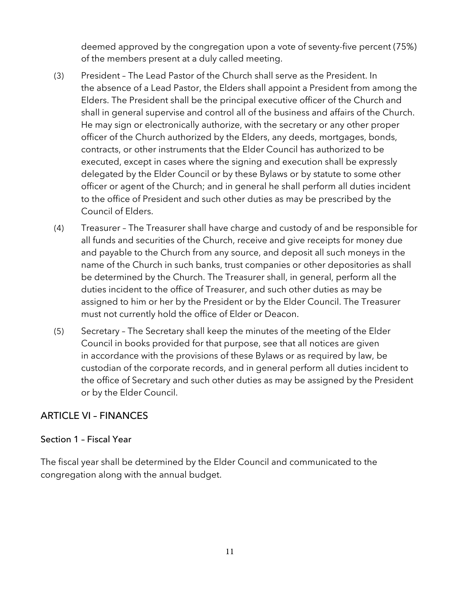deemed approved by the congregation upon a vote of seventy-five percent (75%) of the members present at a duly called meeting.

- (3) President The Lead Pastor of the Church shall serve as the President. In the absence of a Lead Pastor, the Elders shall appoint a President from among the Elders. The President shall be the principal executive officer of the Church and shall in general supervise and control all of the business and affairs of the Church. He may sign or electronically authorize, with the secretary or any other proper officer of the Church authorized by the Elders, any deeds, mortgages, bonds, contracts, or other instruments that the Elder Council has authorized to be executed, except in cases where the signing and execution shall be expressly delegated by the Elder Council or by these Bylaws or by statute to some other officer or agent of the Church; and in general he shall perform all duties incident to the office of President and such other duties as may be prescribed by the Council of Elders.
- (4) Treasurer The Treasurer shall have charge and custody of and be responsible for all funds and securities of the Church, receive and give receipts for money due and payable to the Church from any source, and deposit all such moneys in the name of the Church in such banks, trust companies or other depositories as shall be determined by the Church. The Treasurer shall, in general, perform all the duties incident to the office of Treasurer, and such other duties as may be assigned to him or her by the President or by the Elder Council. The Treasurer must not currently hold the office of Elder or Deacon.
- (5) Secretary The Secretary shall keep the minutes of the meeting of the Elder Council in books provided for that purpose, see that all notices are given in accordance with the provisions of these Bylaws or as required by law, be custodian of the corporate records, and in general perform all duties incident to the office of Secretary and such other duties as may be assigned by the President or by the Elder Council.

## ARTICLE VI – FINANCES

#### Section 1 – Fiscal Year

The fiscal year shall be determined by the Elder Council and communicated to the congregation along with the annual budget.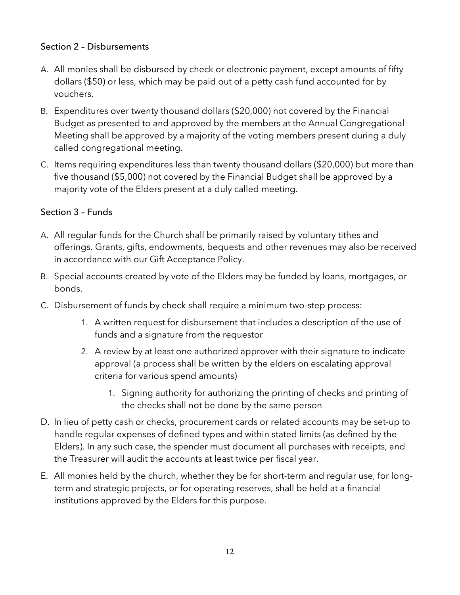#### Section 2 – Disbursements

- A. All monies shall be disbursed by check or electronic payment, except amounts of fifty dollars (\$50) or less, which may be paid out of a petty cash fund accounted for by vouchers.
- B. Expenditures over twenty thousand dollars (\$20,000) not covered by the Financial Budget as presented to and approved by the members at the Annual Congregational Meeting shall be approved by a majority of the voting members present during a duly called congregational meeting.
- C. Items requiring expenditures less than twenty thousand dollars (\$20,000) but more than five thousand (\$5,000) not covered by the Financial Budget shall be approved by a majority vote of the Elders present at a duly called meeting.

# Section 3 – Funds

- A. All regular funds for the Church shall be primarily raised by voluntary tithes and offerings. Grants, gifts, endowments, bequests and other revenues may also be received in accordance with our Gift Acceptance Policy.
- B. Special accounts created by vote of the Elders may be funded by loans, mortgages, or bonds.
- C. Disbursement of funds by check shall require a minimum two-step process:
	- 1. A written request for disbursement that includes a description of the use of funds and a signature from the requestor
	- 2. A review by at least one authorized approver with their signature to indicate approval (a process shall be written by the elders on escalating approval criteria for various spend amounts)
		- 1. Signing authority for authorizing the printing of checks and printing of the checks shall not be done by the same person
- D. In lieu of petty cash or checks, procurement cards or related accounts may be set-up to handle regular expenses of defined types and within stated limits (as defined by the Elders). In any such case, the spender must document all purchases with receipts, and the Treasurer will audit the accounts at least twice per fiscal year.
- E. All monies held by the church, whether they be for short-term and regular use, for longterm and strategic projects, or for operating reserves, shall be held at a financial institutions approved by the Elders for this purpose.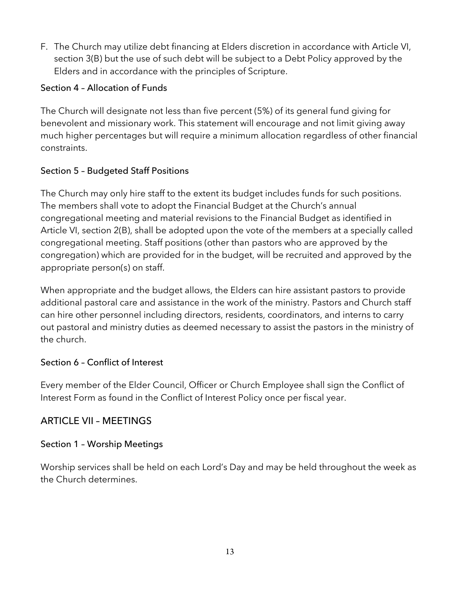F. The Church may utilize debt financing at Elders discretion in accordance with Article VI, section 3(B) but the use of such debt will be subject to a Debt Policy approved by the Elders and in accordance with the principles of Scripture.

## Section 4 – Allocation of Funds

The Church will designate not less than five percent (5%) of its general fund giving for benevolent and missionary work. This statement will encourage and not limit giving away much higher percentages but will require a minimum allocation regardless of other financial constraints.

# Section 5 – Budgeted Staff Positions

The Church may only hire staff to the extent its budget includes funds for such positions. The members shall vote to adopt the Financial Budget at the Church's annual congregational meeting and material revisions to the Financial Budget as identified in Article VI, section 2(B), shall be adopted upon the vote of the members at a specially called congregational meeting. Staff positions (other than pastors who are approved by the congregation) which are provided for in the budget, will be recruited and approved by the appropriate person(s) on staff.

When appropriate and the budget allows, the Elders can hire assistant pastors to provide additional pastoral care and assistance in the work of the ministry. Pastors and Church staff can hire other personnel including directors, residents, coordinators, and interns to carry out pastoral and ministry duties as deemed necessary to assist the pastors in the ministry of the church.

## Section 6 – Conflict of Interest

Every member of the Elder Council, Officer or Church Employee shall sign the Conflict of Interest Form as found in the Conflict of Interest Policy once per fiscal year.

# ARTICLE VII – MEETINGS

## Section 1 – Worship Meetings

Worship services shall be held on each Lord's Day and may be held throughout the week as the Church determines.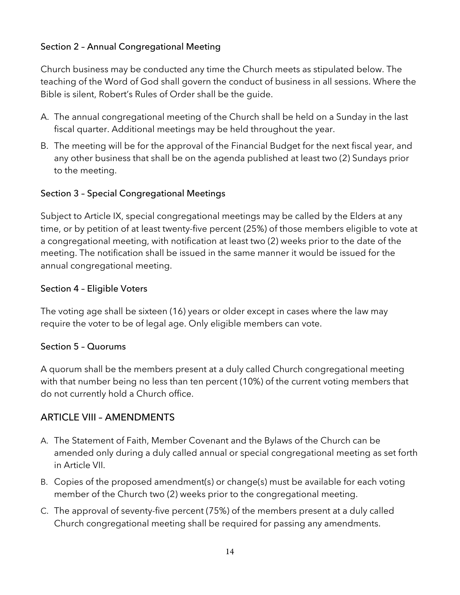# Section 2 – Annual Congregational Meeting

Church business may be conducted any time the Church meets as stipulated below. The teaching of the Word of God shall govern the conduct of business in all sessions. Where the Bible is silent, Robert's Rules of Order shall be the guide.

- A. The annual congregational meeting of the Church shall be held on a Sunday in the last fiscal quarter. Additional meetings may be held throughout the year.
- B. The meeting will be for the approval of the Financial Budget for the next fiscal year, and any other business that shall be on the agenda published at least two (2) Sundays prior to the meeting.

## Section 3 – Special Congregational Meetings

Subject to Article IX, special congregational meetings may be called by the Elders at any time, or by petition of at least twenty-five percent (25%) of those members eligible to vote at a congregational meeting, with notification at least two (2) weeks prior to the date of the meeting. The notification shall be issued in the same manner it would be issued for the annual congregational meeting.

#### Section 4 – Eligible Voters

The voting age shall be sixteen (16) years or older except in cases where the law may require the voter to be of legal age. Only eligible members can vote.

#### Section 5 – Quorums

A quorum shall be the members present at a duly called Church congregational meeting with that number being no less than ten percent (10%) of the current voting members that do not currently hold a Church office.

## ARTICLE VIII – AMENDMENTS

- A. The Statement of Faith, Member Covenant and the Bylaws of the Church can be amended only during a duly called annual or special congregational meeting as set forth in Article VII.
- B. Copies of the proposed amendment(s) or change(s) must be available for each voting member of the Church two (2) weeks prior to the congregational meeting.
- C. The approval of seventy-five percent (75%) of the members present at a duly called Church congregational meeting shall be required for passing any amendments.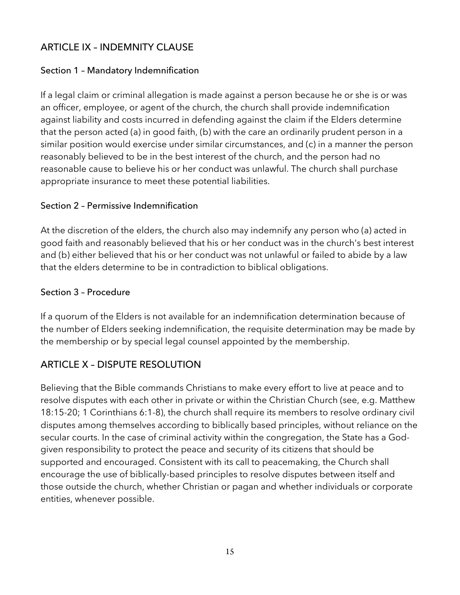# ARTICLE IX – INDEMNITY CLAUSE

## Section 1 – Mandatory Indemnification

If a legal claim or criminal allegation is made against a person because he or she is or was an officer, employee, or agent of the church, the church shall provide indemnification against liability and costs incurred in defending against the claim if the Elders determine that the person acted (a) in good faith, (b) with the care an ordinarily prudent person in a similar position would exercise under similar circumstances, and (c) in a manner the person reasonably believed to be in the best interest of the church, and the person had no reasonable cause to believe his or her conduct was unlawful. The church shall purchase appropriate insurance to meet these potential liabilities.

#### Section 2 – Permissive Indemnification

At the discretion of the elders, the church also may indemnify any person who (a) acted in good faith and reasonably believed that his or her conduct was in the church's best interest and (b) either believed that his or her conduct was not unlawful or failed to abide by a law that the elders determine to be in contradiction to biblical obligations.

#### Section 3 – Procedure

If a quorum of the Elders is not available for an indemnification determination because of the number of Elders seeking indemnification, the requisite determination may be made by the membership or by special legal counsel appointed by the membership.

# ARTICLE X – DISPUTE RESOLUTION

Believing that the Bible commands Christians to make every effort to live at peace and to resolve disputes with each other in private or within the Christian Church (see, e.g. Matthew 18:15-20; 1 Corinthians 6:1-8), the church shall require its members to resolve ordinary civil disputes among themselves according to biblically based principles, without reliance on the secular courts. In the case of criminal activity within the congregation, the State has a Godgiven responsibility to protect the peace and security of its citizens that should be supported and encouraged. Consistent with its call to peacemaking, the Church shall encourage the use of biblically-based principles to resolve disputes between itself and those outside the church, whether Christian or pagan and whether individuals or corporate entities, whenever possible.